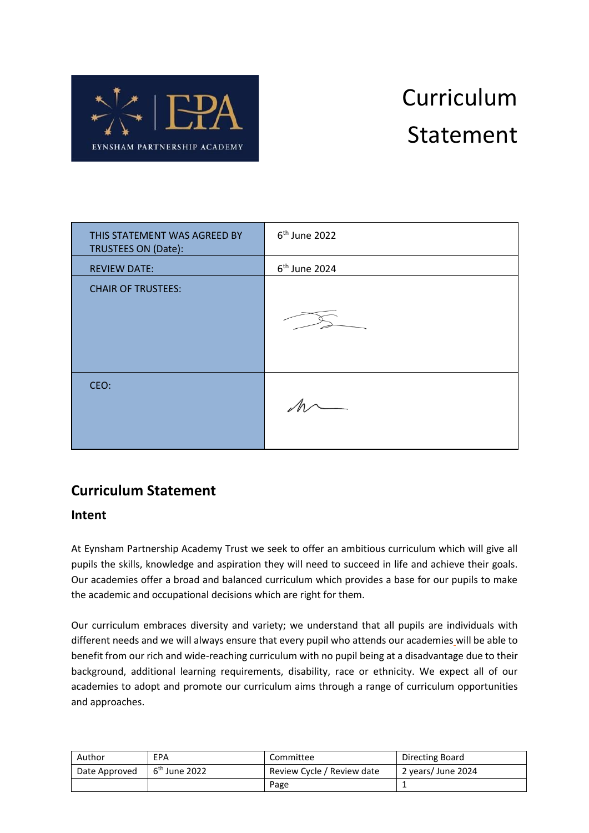

# Curriculum Statement

| THIS STATEMENT WAS AGREED BY<br>TRUSTEES ON (Date): | 6 <sup>th</sup> June 2022 |
|-----------------------------------------------------|---------------------------|
| <b>REVIEW DATE:</b>                                 | 6 <sup>th</sup> June 2024 |
| <b>CHAIR OF TRUSTEES:</b>                           |                           |
| CEO:                                                |                           |

## **Curriculum Statement**

### **Intent**

At Eynsham Partnership Academy Trust we seek to offer an ambitious curriculum which will give all pupils the skills, knowledge and aspiration they will need to succeed in life and achieve their goals. Our academies offer a broad and balanced curriculum which provides a base for our pupils to make the academic and occupational decisions which are right for them.

Our curriculum embraces diversity and variety; we understand that all pupils are individuals with different needs and we will always ensure that every pupil who attends our academies will be able to benefit from our rich and wide-reaching curriculum with no pupil being at a disadvantage due to their background, additional learning requirements, disability, race or ethnicity. We expect all of our academies to adopt and promote our curriculum aims through a range of curriculum opportunities and approaches.

| Author        | EPA             | Committee                  | Directing Board    |
|---------------|-----------------|----------------------------|--------------------|
| Date Approved | $6th$ June 2022 | Review Cycle / Review date | 2 years/ June 2024 |
|               |                 | Page                       |                    |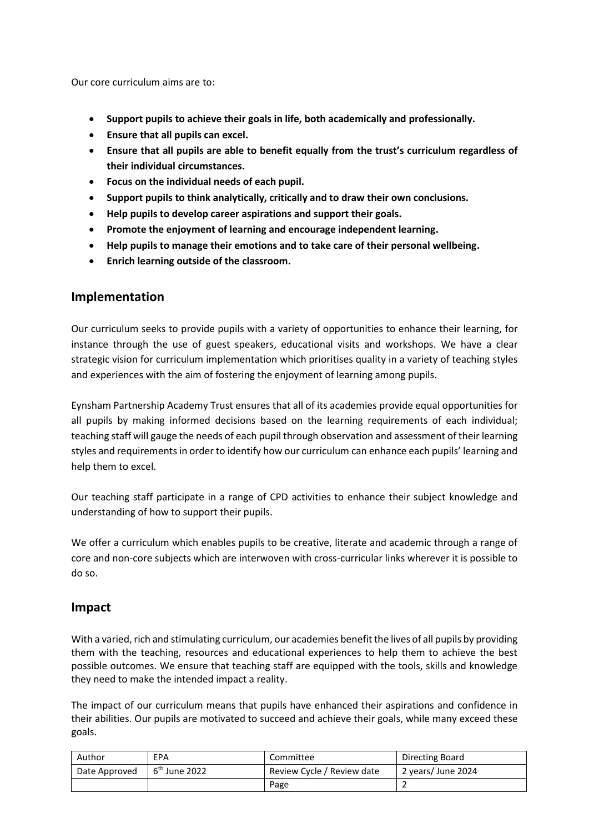Our core curriculum aims are to:

- **Support pupils to achieve their goals in life, both academically and professionally.**
- **Ensure that all pupils can excel.**
- **Ensure that all pupils are able to benefit equally from the trust's curriculum regardless of their individual circumstances.**
- **Focus on the individual needs of each pupil.**
- **Support pupils to think analytically, critically and to draw their own conclusions.**
- **Help pupils to develop career aspirations and support their goals.**
- **Promote the enjoyment of learning and encourage independent learning.**
- **Help pupils to manage their emotions and to take care of their personal wellbeing.**
- **Enrich learning outside of the classroom.**

#### **Implementation**

Our curriculum seeks to provide pupils with a variety of opportunities to enhance their learning, for instance through the use of guest speakers, educational visits and workshops. We have a clear strategic vision for curriculum implementation which prioritises quality in a variety of teaching styles and experiences with the aim of fostering the enjoyment of learning among pupils.

Eynsham Partnership Academy Trust ensures that all of its academies provide equal opportunities for all pupils by making informed decisions based on the learning requirements of each individual; teaching staff will gauge the needs of each pupil through observation and assessment of their learning styles and requirements in order to identify how our curriculum can enhance each pupils' learning and help them to excel.

Our teaching staff participate in a range of CPD activities to enhance their subject knowledge and understanding of how to support their pupils.

We offer a curriculum which enables pupils to be creative, literate and academic through a range of core and non-core subjects which are interwoven with cross-curricular links wherever it is possible to do so.

#### **Impact**

With a varied, rich and stimulating curriculum, our academies benefit the lives of all pupils by providing them with the teaching, resources and educational experiences to help them to achieve the best possible outcomes. We ensure that teaching staff are equipped with the tools, skills and knowledge they need to make the intended impact a reality.

The impact of our curriculum means that pupils have enhanced their aspirations and confidence in their abilities. Our pupils are motivated to succeed and achieve their goals, while many exceed these goals.

| Author        | EPA                       | Committee                  | Directing Board    |
|---------------|---------------------------|----------------------------|--------------------|
| Date Approved | 6 <sup>th</sup> June 2022 | Review Cycle / Review date | 2 years/ June 2024 |
|               |                           | Page                       |                    |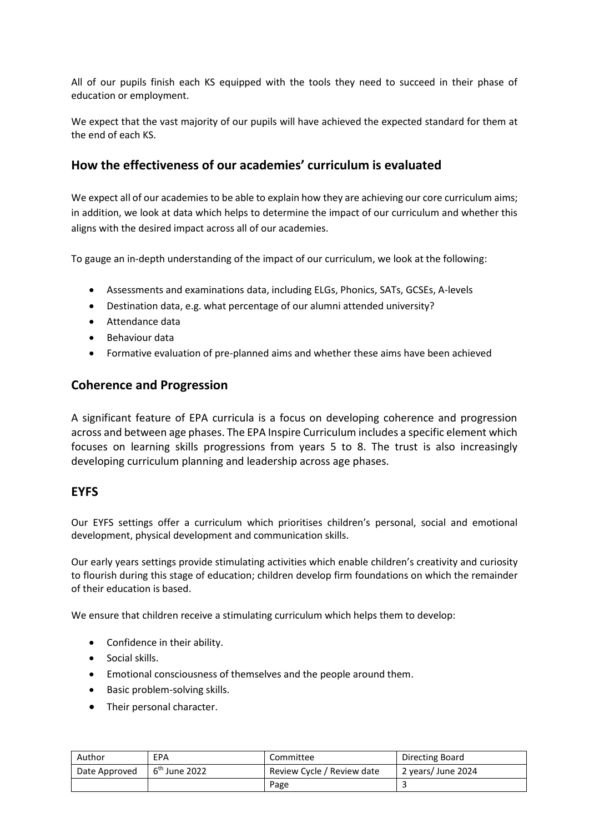All of our pupils finish each KS equipped with the tools they need to succeed in their phase of education or employment.

We expect that the vast majority of our pupils will have achieved the expected standard for them at the end of each KS.

#### **How the effectiveness of our academies' curriculum is evaluated**

We expect all of our academies to be able to explain how they are achieving our core curriculum aims; in addition, we look at data which helps to determine the impact of our curriculum and whether this aligns with the desired impact across all of our academies.

To gauge an in-depth understanding of the impact of our curriculum, we look at the following:

- Assessments and examinations data, including ELGs, Phonics, SATs, GCSEs, A-levels
- Destination data, e.g. what percentage of our alumni attended university?
- Attendance data
- Behaviour data
- Formative evaluation of pre-planned aims and whether these aims have been achieved

#### **Coherence and Progression**

A significant feature of EPA curricula is a focus on developing coherence and progression across and between age phases. The EPA Inspire Curriculum includes a specific element which focuses on learning skills progressions from years 5 to 8. The trust is also increasingly developing curriculum planning and leadership across age phases.

#### **EYFS**

Our EYFS settings offer a curriculum which prioritises children's personal, social and emotional development, physical development and communication skills.

Our early years settings provide stimulating activities which enable children's creativity and curiosity to flourish during this stage of education; children develop firm foundations on which the remainder of their education is based.

We ensure that children receive a stimulating curriculum which helps them to develop:

- Confidence in their ability.
- Social skills.
- Emotional consciousness of themselves and the people around them.
- Basic problem-solving skills.
- Their personal character.

| Author        | EPA             | Committee                  | Directing Board    |
|---------------|-----------------|----------------------------|--------------------|
| Date Approved | $6th$ June 2022 | Review Cycle / Review date | 2 years/ June 2024 |
|               |                 | Page                       |                    |